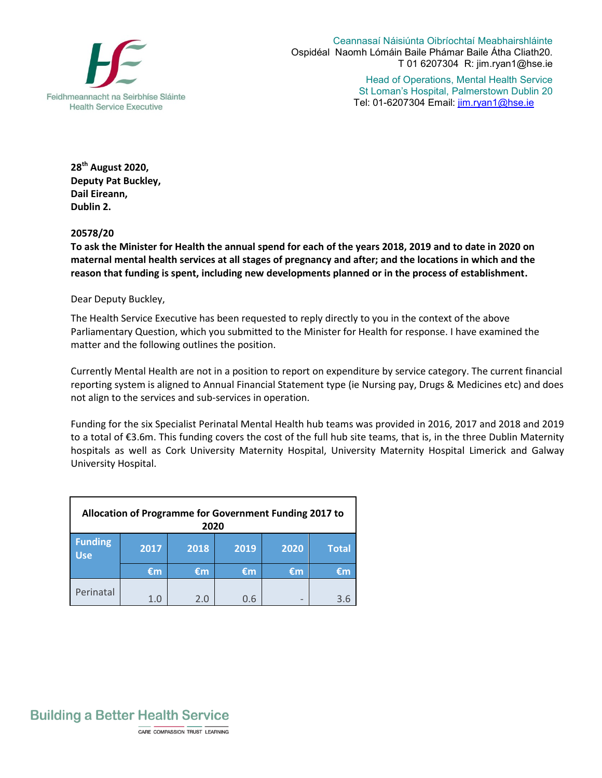

Ceannasaí Náisiúnta Oibríochtaí Meabhairshláinte Ospidéal Naomh Lómáin Baile Phámar Baile Átha Cliath20. T 01 6207304 R: jim.ryan1@hse.ie

> Head of Operations, Mental Health Service St Loman's Hospital, Palmerstown Dublin 20 Tel: 01-6207304 Email: jim.ryan1@hse.ie

**28 th August 2020, Deputy Pat Buckley, Dail Eireann, Dublin 2.** 

## **20578/20**

**To ask the Minister for Health the annual spend for each of the years 2018, 2019 and to date in 2020 on maternal mental health services at all stages of pregnancy and after; and the locations in which and the reason that funding is spent, including new developments planned or in the process of establishment.**

Dear Deputy Buckley,

The Health Service Executive has been requested to reply directly to you in the context of the above Parliamentary Question, which you submitted to the Minister for Health for response. I have examined the matter and the following outlines the position.

Currently Mental Health are not in a position to report on expenditure by service category. The current financial reporting system is aligned to Annual Financial Statement type (ie Nursing pay, Drugs & Medicines etc) and does not align to the services and sub-services in operation.

Funding for the six Specialist Perinatal Mental Health hub teams was provided in 2016, 2017 and 2018 and 2019 to a total of €3.6m. This funding covers the cost of the full hub site teams, that is, in the three Dublin Maternity hospitals as well as Cork University Maternity Hospital, University Maternity Hospital Limerick and Galway University Hospital.

| Allocation of Programme for Government Funding 2017 to<br>2020 |      |      |      |                          |              |
|----------------------------------------------------------------|------|------|------|--------------------------|--------------|
| <b>Funding</b><br><b>Use</b>                                   | 2017 | 2018 | 2019 | 2020                     | <b>Total</b> |
|                                                                | €m   | €m   | €m   | €m                       | €m           |
| Perinatal                                                      | 1.0  | 2.0  | 0.6  | $\overline{\phantom{0}}$ | 3.6          |



CARE COMPASSION TRUST LEARNING